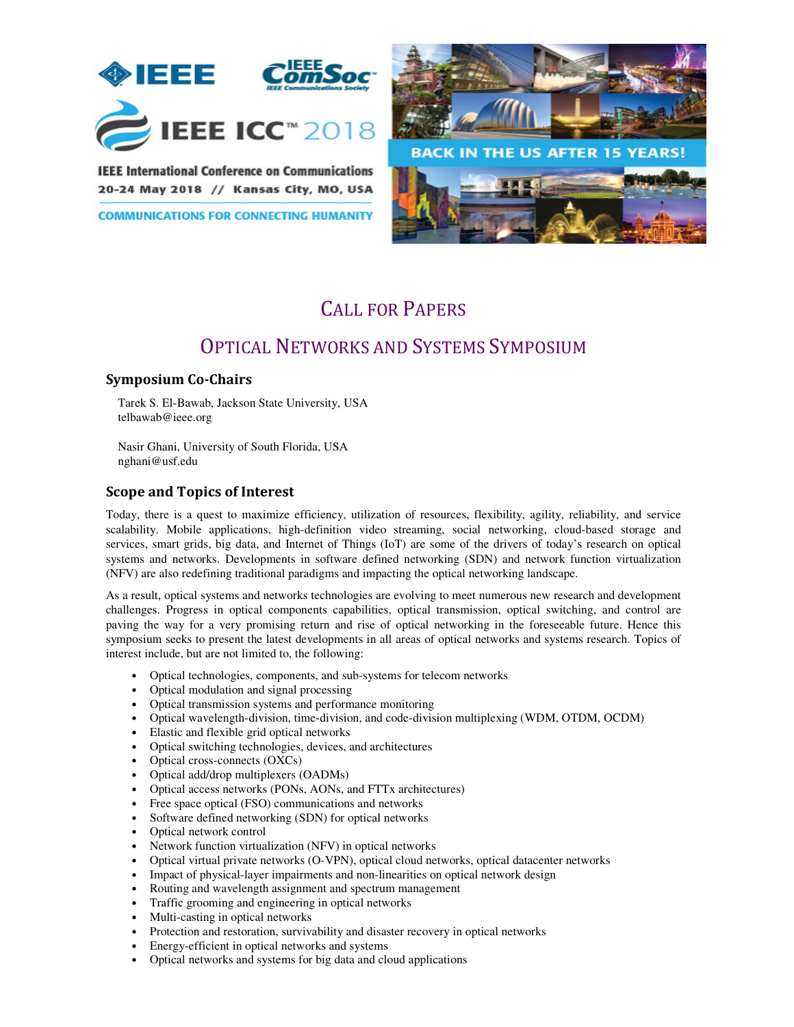

**IEEE International Conference on Communications** 20-24 May 2018 // Kansas City, MO, USA

**COMMUNICATIONS FOR CONNECTING HUMANITY** 



# CALL FOR PAPERS

## OPTICAL NETWORKS AND SYSTEMS SYMPOSIUM

#### **Symposium Co-Chairs**

Tarek S. El-Bawab, Jackson State University, USA telbawab@ieee.org

Nasir Ghani, University of South Florida, USA nghani@usf.edu

#### **Scope and Topics of Interest**

Today, there is a quest to maximize efficiency, utilization of resources, flexibility, agility, reliability, and service scalability. Mobile applications, high-definition video streaming, social networking, cloud-based storage and services, smart grids, big data, and Internet of Things (IoT) are some of the drivers of today's research on optical systems and networks. Developments in software defined networking (SDN) and network function virtualization (NFV) are also redefining traditional paradigms and impacting the optical networking landscape.

As a result, optical systems and networks technologies are evolving to meet numerous new research and development challenges. Progress in optical components capabilities, optical transmission, optical switching, and control are paving the way for a very promising return and rise of optical networking in the foreseeable future. Hence this symposium seeks to present the latest developments in all areas of optical networks and systems research. Topics of interest include, but are not limited to, the following:

- Optical technologies, components, and sub-systems for telecom networks
- Optical modulation and signal processing
- Optical transmission systems and performance monitoring
- Optical wavelength-division, time-division, and code-division multiplexing (WDM, OTDM, OCDM)
- Elastic and flexible grid optical networks
- Optical switching technologies, devices, and architectures
- Optical cross-connects (OXCs)
- Optical add/drop multiplexers (OADMs)
- Optical access networks (PONs, AONs, and FTTx architectures)
- Free space optical (FSO) communications and networks
- Software defined networking (SDN) for optical networks
- Optical network control
- Network function virtualization (NFV) in optical networks
- Optical virtual private networks (O-VPN), optical cloud networks, optical datacenter networks
- Impact of physical-layer impairments and non-linearities on optical network design
- Routing and wavelength assignment and spectrum management
- Traffic grooming and engineering in optical networks
- Multi-casting in optical networks
- Protection and restoration, survivability and disaster recovery in optical networks
- Energy-efficient in optical networks and systems
- Optical networks and systems for big data and cloud applications